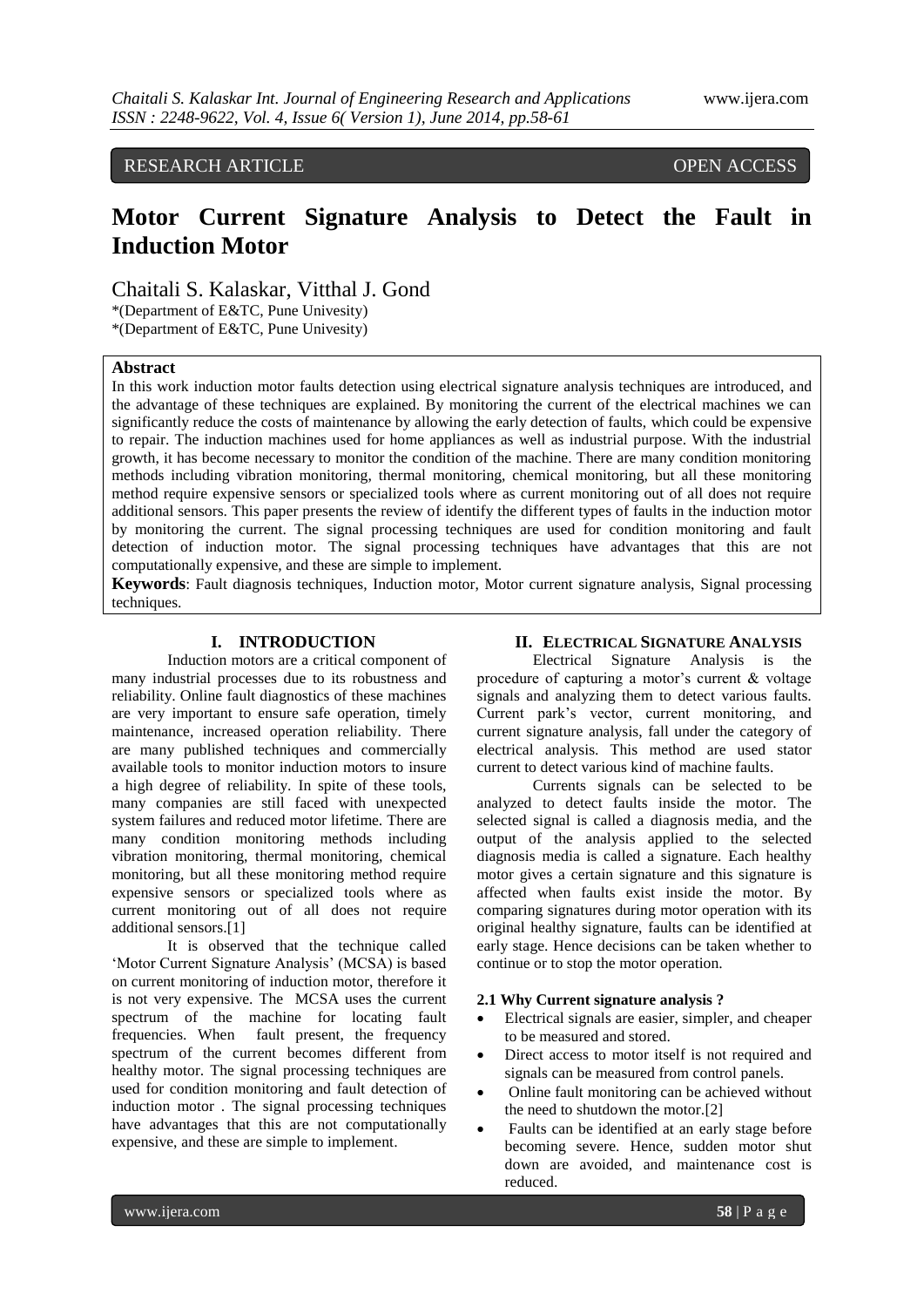RESEARCH ARTICLE **OPEN ACCESS** 

# **Motor Current Signature Analysis to Detect the Fault in Induction Motor**

Chaitali S. Kalaskar, Vitthal J. Gond

\*(Department of E&TC, Pune Univesity)

\*(Department of E&TC, Pune Univesity)

# **Abstract**

In this work induction motor faults detection using electrical signature analysis techniques are introduced, and the advantage of these techniques are explained. By monitoring the current of the electrical machines we can significantly reduce the costs of maintenance by allowing the early detection of faults, which could be expensive to repair. The induction machines used for home appliances as well as industrial purpose. With the industrial growth, it has become necessary to monitor the condition of the machine. There are many condition monitoring methods including vibration monitoring, thermal monitoring, chemical monitoring, but all these monitoring method require expensive sensors or specialized tools where as current monitoring out of all does not require additional sensors. This paper presents the review of identify the different types of faults in the induction motor by monitoring the current. The signal processing techniques are used for condition monitoring and fault detection of induction motor. The signal processing techniques have advantages that this are not computationally expensive, and these are simple to implement.

**Keywords**: Fault diagnosis techniques, Induction motor, Motor current signature analysis, Signal processing techniques.

# **I. INTRODUCTION**

Induction motors are a critical component of many industrial processes due to its robustness and reliability. Online fault diagnostics of these machines are very important to ensure safe operation, timely maintenance, increased operation reliability. There are many published techniques and commercially available tools to monitor induction motors to insure a high degree of reliability. In spite of these tools, many companies are still faced with unexpected system failures and reduced motor lifetime. There are many condition monitoring methods including vibration monitoring, thermal monitoring, chemical monitoring, but all these monitoring method require expensive sensors or specialized tools where as current monitoring out of all does not require additional sensors.[1]

It is observed that the technique called 'Motor Current Signature Analysis' (MCSA) is based on current monitoring of induction motor, therefore it is not very expensive. The MCSA uses the current spectrum of the machine for locating fault frequencies. When fault present, the frequency spectrum of the current becomes different from healthy motor. The signal processing techniques are used for condition monitoring and fault detection of induction motor . The signal processing techniques have advantages that this are not computationally expensive, and these are simple to implement.

#### **II. ELECTRICAL SIGNATURE ANALYSIS**

Electrical Signature Analysis is the procedure of capturing a motor's current  $\&$  voltage signals and analyzing them to detect various faults. Current park"s vector, current monitoring, and current signature analysis, fall under the category of electrical analysis. This method are used stator current to detect various kind of machine faults.

Currents signals can be selected to be analyzed to detect faults inside the motor. The selected signal is called a diagnosis media, and the output of the analysis applied to the selected diagnosis media is called a signature. Each healthy motor gives a certain signature and this signature is affected when faults exist inside the motor. By comparing signatures during motor operation with its original healthy signature, faults can be identified at early stage. Hence decisions can be taken whether to continue or to stop the motor operation.

#### **2.1 Why Current signature analysis ?**

- Electrical signals are easier, simpler, and cheaper to be measured and stored.
- Direct access to motor itself is not required and signals can be measured from control panels.
- Online fault monitoring can be achieved without the need to shutdown the motor.[2]
- Faults can be identified at an early stage before becoming severe. Hence, sudden motor shut down are avoided, and maintenance cost is reduced.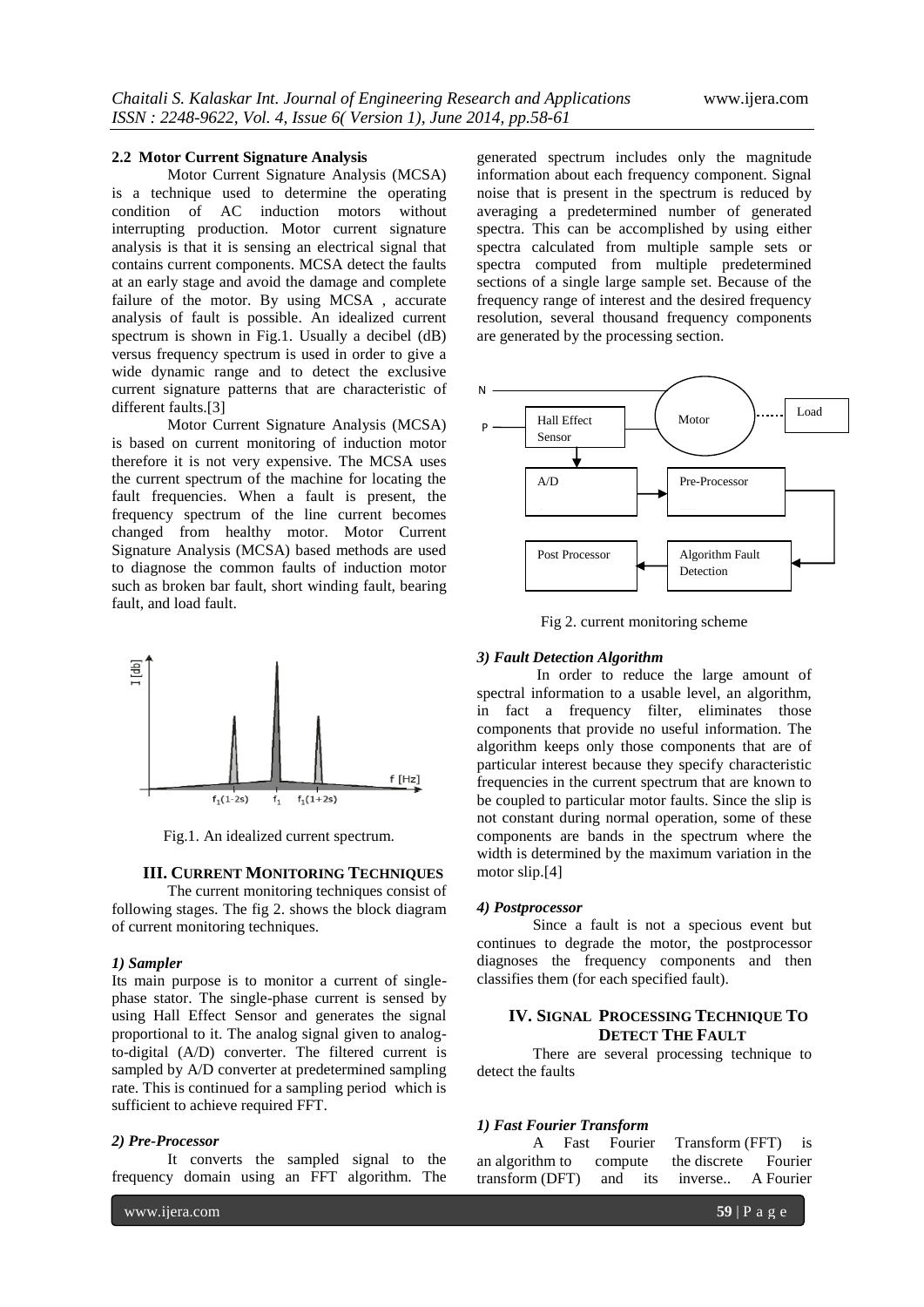#### **2.2 Motor Current Signature Analysis**

Motor Current Signature Analysis (MCSA) is a technique used to determine the operating condition of AC induction motors without interrupting production. Motor current signature analysis is that it is sensing an electrical signal that contains current components. MCSA detect the faults at an early stage and avoid the damage and complete failure of the motor. By using MCSA , accurate analysis of fault is possible. An idealized current spectrum is shown in Fig.1. Usually a decibel (dB) versus frequency spectrum is used in order to give a wide dynamic range and to detect the exclusive current signature patterns that are characteristic of different faults.[3]

Motor Current Signature Analysis (MCSA) is based on current monitoring of induction motor therefore it is not very expensive. The MCSA uses the current spectrum of the machine for locating the fault frequencies. When a fault is present, the frequency spectrum of the line current becomes changed from healthy motor. Motor Current Signature Analysis (MCSA) based methods are used to diagnose the common faults of induction motor such as broken bar fault, short winding fault, bearing fault, and load fault.



Fig.1. An idealized current spectrum.

#### **III. CURRENT MONITORING TECHNIQUES**

The current monitoring techniques consist of following stages. The fig 2. shows the block diagram of current monitoring techniques.

#### *1) Sampler*

Its main purpose is to monitor a current of singlephase stator. The single-phase current is sensed by using Hall Effect Sensor and generates the signal proportional to it. The analog signal given to analogto-digital (A/D) converter. The filtered current is sampled by A/D converter at predetermined sampling rate. This is continued for a sampling period which is sufficient to achieve required FFT.

#### *2) Pre-Processor*

It converts the sampled signal to the frequency domain using an FFT algorithm. The

generated spectrum includes only the magnitude information about each frequency component. Signal noise that is present in the spectrum is reduced by averaging a predetermined number of generated spectra. This can be accomplished by using either spectra calculated from multiple sample sets or spectra computed from multiple predetermined sections of a single large sample set. Because of the frequency range of interest and the desired frequency resolution, several thousand frequency components are generated by the processing section.



Fig 2. current monitoring scheme

# *3) Fault Detection Algorithm*

In order to reduce the large amount of spectral information to a usable level, an algorithm, in fact a frequency filter, eliminates those components that provide no useful information. The algorithm keeps only those components that are of particular interest because they specify characteristic frequencies in the current spectrum that are known to be coupled to particular motor faults. Since the slip is not constant during normal operation, some of these components are bands in the spectrum where the width is determined by the maximum variation in the motor slip.[4]

## *4) Postprocessor*

Since a fault is not a specious event but continues to degrade the motor, the postprocessor diagnoses the frequency components and then classifies them (for each specified fault).

# **IV. SIGNAL PROCESSING TECHNIQUE TO DETECT THE FAULT**

There are several processing technique to detect the faults

#### *1) Fast Fourier Transform*

|  |  | Fast Fourier Transform (FFT) is              |  |
|--|--|----------------------------------------------|--|
|  |  | an algorithm to compute the discrete Fourier |  |
|  |  | transform (DFT) and its inverse A Fourier    |  |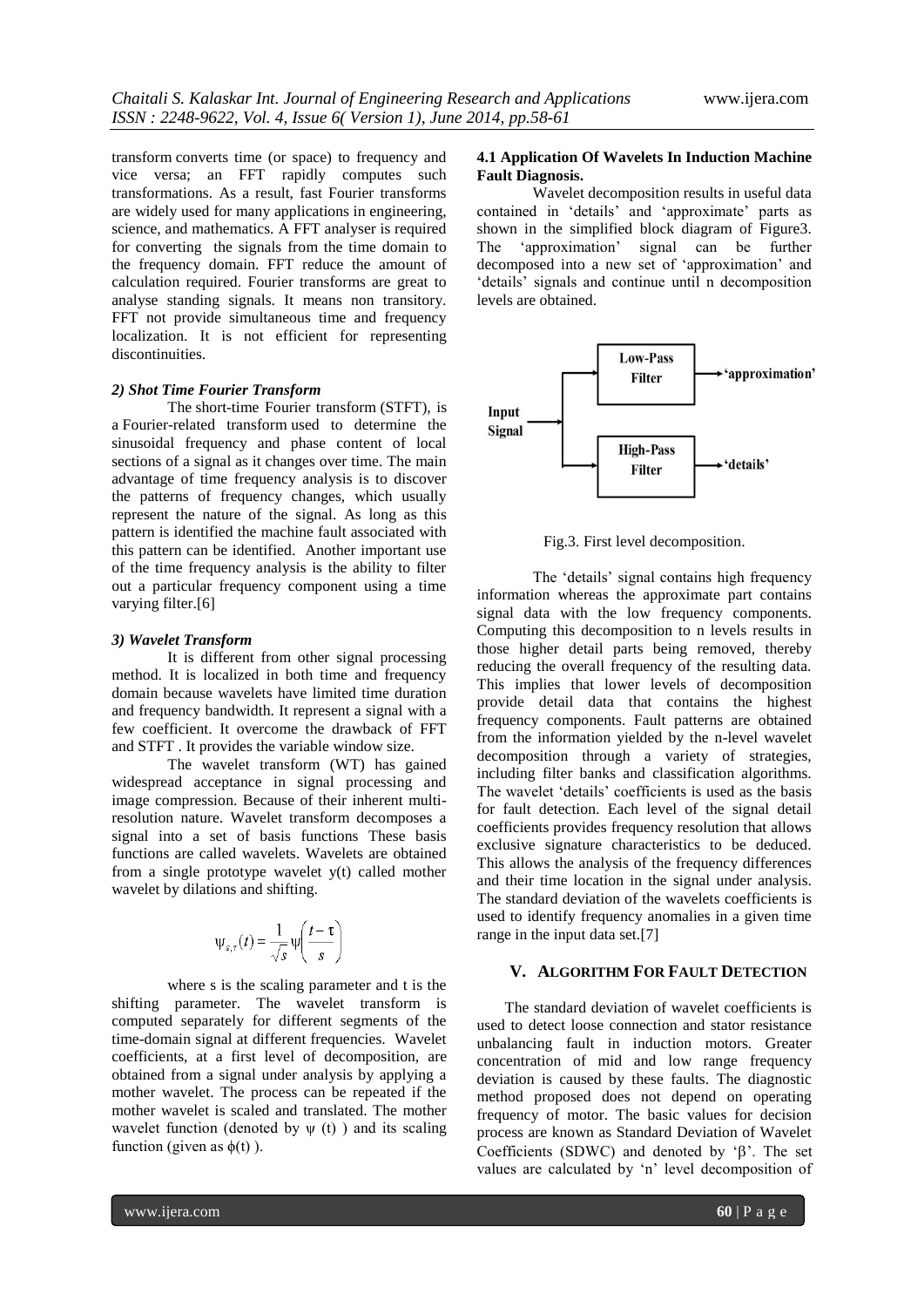transform converts time (or space) to frequency and vice versa; an FFT rapidly computes such transformations. As a result, fast Fourier transforms are widely used for [many applications](http://en.wikipedia.org/wiki/Discrete_Fourier_transform#Applications) in engineering, science, and mathematics. A FFT analyser is required for converting the signals from the time domain to the frequency domain. FFT reduce the amount of calculation required. Fourier transforms are great to analyse standing signals. It means non transitory. FFT not provide simultaneous time and frequency localization. It is not efficient for representing discontinuities.

# *2) Shot Time Fourier Transform*

The short-time Fourier transform (STFT), is a [Fourier-related transform](http://en.wikipedia.org/wiki/List_of_Fourier-related_transforms) used to determine the sinusoidal frequency and phase content of local sections of a signal as it changes over time. The main advantage of time frequency analysis is to discover the patterns of frequency changes, which usually represent the nature of the signal. As long as this pattern is identified the machine fault associated with this pattern can be identified. Another important use of the time frequency analysis is the ability to filter out a particular frequency component using a time varying filter.<sup>[6]</sup>

#### *3) Wavelet Transform*

It is different from other signal processing method. It is localized in both time and frequency domain because wavelets have limited time duration and frequency bandwidth. It represent a signal with a few coefficient. It overcome the drawback of FFT and STFT . It provides the variable window size.

The wavelet transform (WT) has gained widespread acceptance in signal processing and image compression. Because of their inherent multiresolution nature. Wavelet transform decomposes a signal into a set of basis functions These basis functions are called wavelets. Wavelets are obtained from a single prototype wavelet y(t) called mother wavelet by dilations and shifting.

$$
\Psi_{s,\tau}(t) = \frac{1}{\sqrt{s}} \Psi\left(\frac{t-\tau}{s}\right)
$$

where s is the scaling parameter and t is the shifting parameter. The wavelet transform is computed separately for different segments of the time-domain signal at different frequencies. Wavelet coefficients, at a first level of decomposition, are obtained from a signal under analysis by applying a mother wavelet. The process can be repeated if the mother wavelet is scaled and translated. The mother wavelet function (denoted by  $\psi$  (t)) and its scaling function (given as  $\phi(t)$ ).

#### **4.1 Application Of Wavelets In Induction Machine Fault Diagnosis.**

Wavelet decomposition results in useful data contained in 'details' and 'approximate' parts as shown in the simplified block diagram of Figure3. The "approximation" signal can be further decomposed into a new set of "approximation" and "details" signals and continue until n decomposition levels are obtained.



Fig.3. First level decomposition.

The "details" signal contains high frequency information whereas the approximate part contains signal data with the low frequency components. Computing this decomposition to n levels results in those higher detail parts being removed, thereby reducing the overall frequency of the resulting data. This implies that lower levels of decomposition provide detail data that contains the highest frequency components. Fault patterns are obtained from the information yielded by the n-level wavelet decomposition through a variety of strategies, including filter banks and classification algorithms. The wavelet "details" coefficients is used as the basis for fault detection. Each level of the signal detail coefficients provides frequency resolution that allows exclusive signature characteristics to be deduced. This allows the analysis of the frequency differences and their time location in the signal under analysis. The standard deviation of the wavelets coefficients is used to identify frequency anomalies in a given time range in the input data set.[7]

# **V. ALGORITHM FOR FAULT DETECTION**

The standard deviation of wavelet coefficients is used to detect loose connection and stator resistance unbalancing fault in induction motors. Greater concentration of mid and low range frequency deviation is caused by these faults. The diagnostic method proposed does not depend on operating frequency of motor. The basic values for decision process are known as Standard Deviation of Wavelet Coefficients (SDWC) and denoted by  $\beta$ . The set values are calculated by 'n' level decomposition of